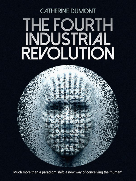## **CATHERINE DUMONT** THE FOURTH<br>INDUSTRIAL<br>REVOLUTION

Much more than a paradigm shift, a new way of conceiving the "human"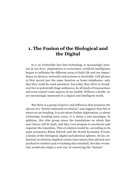## **1. The Fusion of the Biological and the Digital**

It is an irrefutable fact that technology is increasingly present in our lives. Digitization is everywhere, artificial intelligence begins to infiltrate the different areas of daily life and our dependence on devices, networks and systems is inevitable. Cell phones at first served just the same function as home telephones, only that they could be used anywhere, but today they allow to broadcast live to potentially huge audiences, do all kinds of transactions and even control some aspects of our health. Without a doubt, we are increasingly immersed in a digital and intelligent world.

But there is a group of power and influence that proposes the advent of a "fourth industrial revolution" and suggests that this is where we are heading. It is not about further digitization, or about technology invading more areas, it is about a new paradigm. In addition, this elite group raises the foundations on which that near future will be built, and they even propose to accelerate and organize the transition. This revolution would be, according to its main promoters Klaus Schwab and the World Economic Forum, a fusion of the biological, digital and physical spheres. So far, industrial revolutions implied certain innovations that allowed new productive models (and everything that entailed), but this revolution would also imply a new way of conceiving the "human".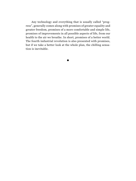Any technology and everything that is usually called "progress", generally comes along with promises of greater equality and greater freedom, promises of a more comfortable and simple life, promises of improvements in all possible aspects of life, from our health to the air we breathe. In short, promises of a better world. The fourth industrial revolution is also presented with promises, but if we take a better look at the whole plan, the chilling sensation is inevitable.

**•**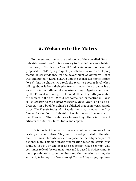## **2. Welcome to the Matrix**

To understand the nature and scope of the so-called "fourth industrial revolution", it is necessary to first define who is behind this concept. The idea of a "fourth" industrial revolution was first proposed in 2013 by a group of specialists who were developing technological guidelines for the government of Germany. But it was undoubtedly Klaus Schwab and the World Economic Forum (WEF) that he chairs, who took the term to another level when talking about it from their platforms: in 2015 they brought it up an article in the influential magazine *Foreign Affairs* (published by the Council on Foreign Relations), then they fully presented the subject in the 2016 World Economic Forum meeting in Davos called *Mastering the Fourth Industrial Revolution*, and also addressed it in a book by Schwab published that same year, simply titled *The Fourth Industrial Revolution*. Also in 2016, the first Center for the Fourth Industrial Revolution was inaugurated in San Francisco. That center was followed by others in different cities in the United States, India and Japan.

It is important to note that these are not mere observers forecasting a certain future. They are the most powerful, influential and wealthiest elite who seek to impose that paradigm as part of a global plan. This non-profit organization (such its status) was founded in 1971 by engineer and economist Klaus Schwab (who continues to lead the organization) and is based in Switzerland. It has approximately 1,000 members and their mission, as they describe it, is to improve *"the state of the world by engaging busi-*